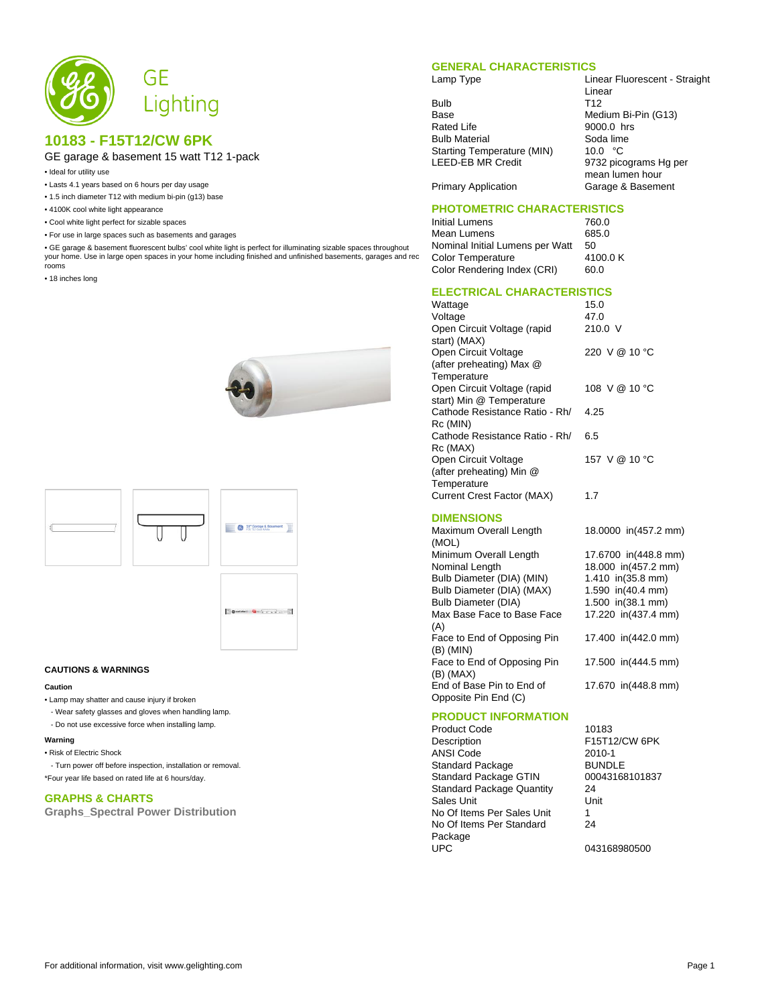

# **10183 - F15T12/CW 6PK**

## GE garage & basement 15 watt T12 1-pack

- Ideal for utility use
- Lasts 4.1 years based on 6 hours per day usage
- 1.5 inch diameter T12 with medium bi-pin (g13) base
- 4100K cool white light appearance
- Cool white light perfect for sizable spaces
- For use in large spaces such as basements and garages

• GE garage & basement fluorescent bulbs' cool white light is perfect for illuminating sizable spaces throughout your home. Use in large open spaces in your home including finished and unfinished basements, garages and rec rooms

• 18 inches long







#### **CAUTIONS & WARNINGS**

#### **Caution**

- Lamp may shatter and cause injury if broken
- Wear safety glasses and gloves when handling lamp.
- Do not use excessive force when installing lamp.

#### **Warning**

• Risk of Electric Shock

 - Turn power off before inspection, installation or removal. \*Four year life based on rated life at 6 hours/day.

### **GRAPHS & CHARTS**

**Graphs\_Spectral Power Distribution**

#### **GENERAL CHARACTERISTICS**

Bulb T12<br>Base Med Base Medium Bi-Pin (G13)<br>Rated Life 9000.0 hrs **Bulb Material** Starting Temperature (MIN) 10.0 °C<br>LEED-EB MR Credit 9732 picc

Lamp Type **Linear Fluorescent - Straight** Linear 9000.0 hrs<br>Soda lime 9732 picograms Hg per mean lumen hour Primary Application Garage & Basement

### **PHOTOMETRIC CHARACTERISTICS**

Initial Lumens 760.0 Mean Lumens 685.0 Nominal Initial Lumens per Watt 50<br>Color Temperature 4100.0 K Color Temperature 4100<br>Color Rendering Index (CRI) 60.0 Color Rendering Index (CRI)

## **ELECTRICAL CHARACTERISTICS**

| Wattage                           | 15.0          |
|-----------------------------------|---------------|
| Voltage                           | 47.0          |
| Open Circuit Voltage (rapid       | 210.0 V       |
| start) (MAX)                      |               |
| Open Circuit Voltage              | 220 V @ 10 °C |
| (after preheating) Max @          |               |
| Temperature                       |               |
| Open Circuit Voltage (rapid       | 108 V @ 10 °C |
| start) Min @ Temperature          |               |
| Cathode Resistance Ratio - Rh/    | 4.25          |
| Rc (MIN)                          |               |
| Cathode Resistance Ratio - Rh/    | 6.5           |
| Rc (MAX)                          |               |
| Open Circuit Voltage              | 157 V @ 10 °C |
| (after preheating) Min @          |               |
| Temperature                       |               |
| <b>Current Crest Factor (MAX)</b> | 1.7           |
|                                   |               |

### **DIMENSIONS**

Maximum Overall Length (MOL) 18.0000 in(457.2 mm) Minimum Overall Length 17.6700 in(448.8 mm)<br>Nominal Length 18.000 in(457.2 mm) 18.000 in(457.2 mm)<br>1.410 in(35.8 mm) Bulb Diameter (DIA) (MIN) Bulb Diameter (DIA) (MAX) 1.590 in(40.4 mm) Bulb Diameter (DIA) 1.500 in(38.1 mm) Max Base Face to Base Face (A) 17.220 in(437.4 mm) Face to End of Opposing Pin (B) (MIN) 17.400 in(442.0 mm) Face to End of Opposing Pin (B) (MAX) 17.500 in(444.5 mm) End of Base Pin to End of Opposite Pin End (C) 17.670 in(448.8 mm)

### **PRODUCT INFORMATION**

Product Code 10183 Description F15T12/CW 6PK<br>ANSI Code 2010-1 ANSI Code 2010-1<br>Standard Package 2010-1 Standard Package BUNDLE<br>Standard Package GTIN 00043168101837 Standard Package GTIN 000<br>Standard Package Quantity 24 Standard Package Quantity Sales Unit **Unit** Unit No Of Items Per Sales Unit 1 No Of Items Per Standard Package<br>UPC

24

043168980500